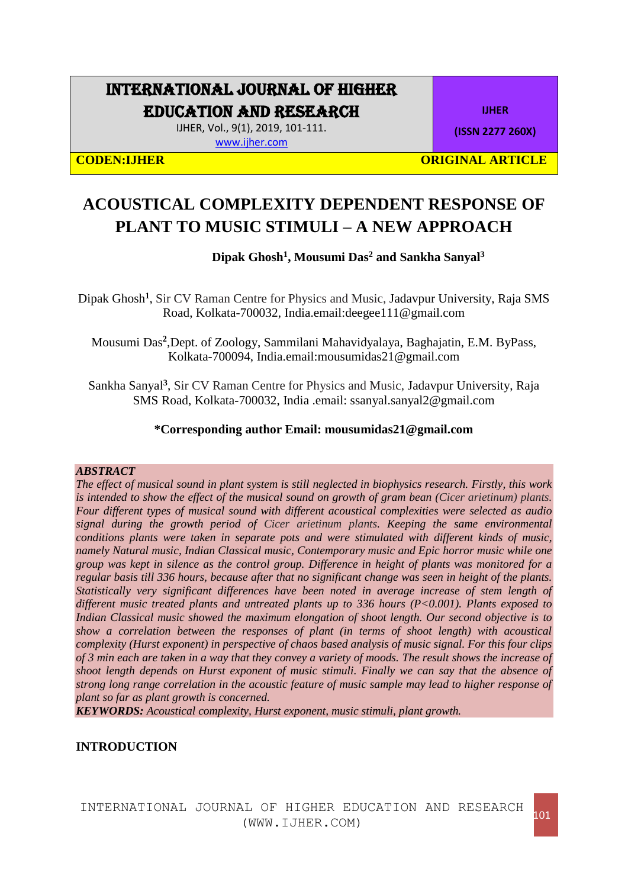## INTERNATIONAL JOURNAL OF HIGHER EDUCATION AND RESEARCH

IJHER, Vol., 9(1), 2019, 101-111. [www.ijher.com](http://www.ijher.com/)

**IJHER**

**(ISSN 2277 260X)**

**CODEN:IJHER ORIGINAL ARTICLE** 

# **ACOUSTICAL COMPLEXITY DEPENDENT RESPONSE OF PLANT TO MUSIC STIMULI – A NEW APPROACH**

## **Dipak Ghosh<sup>1</sup> , Mousumi Das<sup>2</sup> and Sankha Sanyal<sup>3</sup>**

Dipak Ghosh**<sup>1</sup>** , Sir CV Raman Centre for Physics and Music, Jadavpur University, Raja SMS Road, Kolkata-700032, India.email:deegee111@gmail.com

Mousumi Das<sup>2</sup>, Dept. of Zoology, Sammilani Mahavidyalaya, Baghajatin, E.M. ByPass, Kolkata-700094, India.email:mousumidas21@gmail.com

Sankha Sanyal**<sup>3</sup>** , Sir CV Raman Centre for Physics and Music, Jadavpur University, Raja SMS Road, Kolkata-700032, India .email: ssanyal.sanyal2@gmail.com

## **\*Corresponding author Email: mousumidas21@gmail.com**

#### *ABSTRACT*

*The effect of musical sound in plant system is still neglected in biophysics research. Firstly, this work is intended to show the effect of the musical sound on growth of gram bean (Cicer arietinum) plants. Four different types of musical sound with different acoustical complexities were selected as audio signal during the growth period of Cicer arietinum plants. Keeping the same environmental conditions plants were taken in separate pots and were stimulated with different kinds of music, namely Natural music, Indian Classical music, Contemporary music and Epic horror music while one group was kept in silence as the control group. Difference in height of plants was monitored for a regular basis till 336 hours, because after that no significant change was seen in height of the plants. Statistically very significant differences have been noted in average increase of stem length of different music treated plants and untreated plants up to 336 hours (P<0.001). Plants exposed to Indian Classical music showed the maximum elongation of shoot length. Our second objective is to show a correlation between the responses of plant (in terms of shoot length) with acoustical complexity (Hurst exponent) in perspective of chaos based analysis of music signal. For this four clips of 3 min each are taken in a way that they convey a variety of moods. The result shows the increase of shoot length depends on Hurst exponent of music stimuli. Finally we can say that the absence of strong long range correlation in the acoustic feature of music sample may lead to higher response of plant so far as plant growth is concerned.*

*KEYWORDS: Acoustical complexity, Hurst exponent, music stimuli, plant growth.*

## **INTRODUCTION**

INTERNATIONAL JOURNAL OF HIGHER EDUCATION AND RESEARCH (WWW.IJHER.COM) (WWW.IJHER.COM)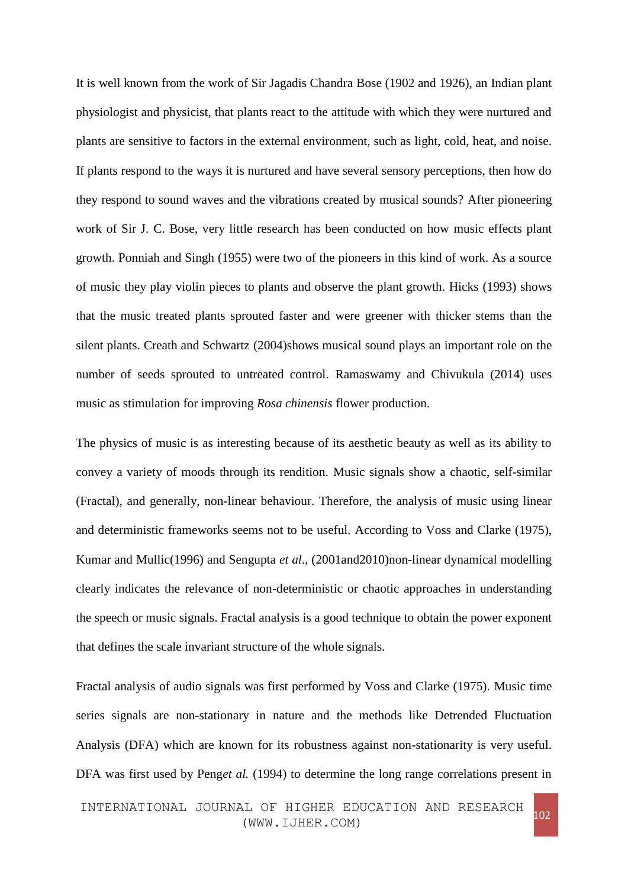It is well known from the work of Sir Jagadis Chandra Bose (1902 and 1926), an Indian plant physiologist and physicist, that plants react to the attitude with which they were nurtured and plants are sensitive to factors in the external environment, such as light, cold, heat, and noise. If plants respond to the ways it is nurtured and have several sensory perceptions, then how do they respond to sound waves and the vibrations created by musical sounds? After pioneering work of Sir J. C. Bose, very little research has been conducted on how music effects plant growth. Ponniah and Singh (1955) were two of the pioneers in this kind of work. As a source of music they play violin pieces to plants and observe the plant growth. Hicks (1993) shows that the music treated plants sprouted faster and were greener with thicker stems than the silent plants. Creath and Schwartz (2004)shows musical sound plays an important role on the number of seeds sprouted to untreated control. Ramaswamy and Chivukula (2014) uses music as stimulation for improving *Rosa chinensis* flower production.

The physics of music is as interesting because of its aesthetic beauty as well as its ability to convey a variety of moods through its rendition. Music signals show a chaotic, self-similar (Fractal), and generally, non-linear behaviour. Therefore, the analysis of music using linear and deterministic frameworks seems not to be useful. According to Voss and Clarke (1975), Kumar and Mullic(1996) and Sengupta *et al*., (2001and2010)non-linear dynamical modelling clearly indicates the relevance of non-deterministic or chaotic approaches in understanding the speech or music signals. Fractal analysis is a good technique to obtain the power exponent that defines the scale invariant structure of the whole signals.

Fractal analysis of audio signals was first performed by Voss and Clarke (1975). Music time series signals are non-stationary in nature and the methods like Detrended Fluctuation Analysis (DFA) which are known for its robustness against non-stationarity is very useful. DFA was first used by Peng*et al.* (1994) to determine the long range correlations present in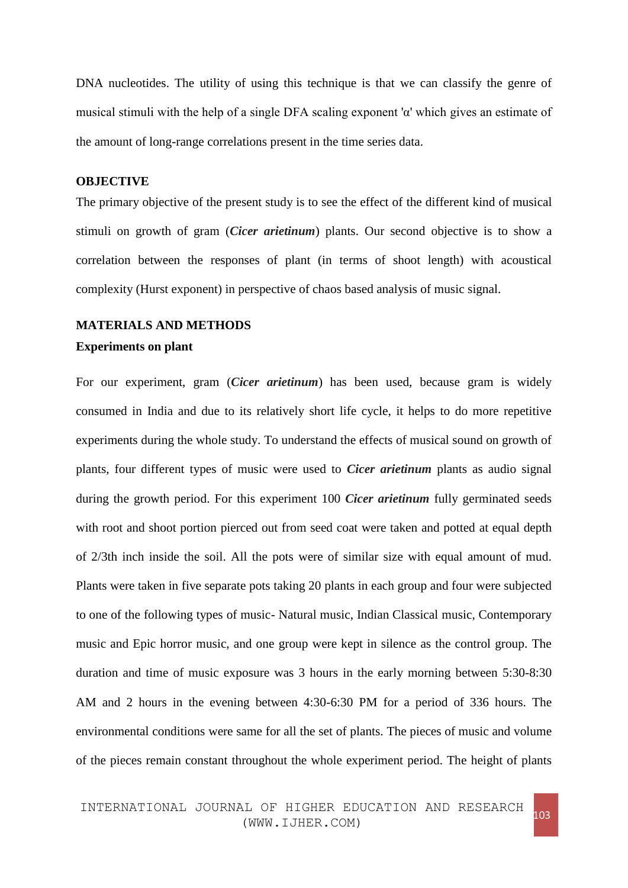DNA nucleotides. The utility of using this technique is that we can classify the genre of musical stimuli with the help of a single DFA scaling exponent 'α' which gives an estimate of the amount of long-range correlations present in the time series data.

## **OBJECTIVE**

The primary objective of the present study is to see the effect of the different kind of musical stimuli on growth of gram (*Cicer arietinum*) plants. Our second objective is to show a correlation between the responses of plant (in terms of shoot length) with acoustical complexity (Hurst exponent) in perspective of chaos based analysis of music signal.

## **MATERIALS AND METHODS**

#### **Experiments on plant**

For our experiment, gram (*Cicer arietinum*) has been used, because gram is widely consumed in India and due to its relatively short life cycle, it helps to do more repetitive experiments during the whole study. To understand the effects of musical sound on growth of plants, four different types of music were used to *Cicer arietinum* plants as audio signal during the growth period. For this experiment 100 *Cicer arietinum* fully germinated seeds with root and shoot portion pierced out from seed coat were taken and potted at equal depth of 2/3th inch inside the soil. All the pots were of similar size with equal amount of mud. Plants were taken in five separate pots taking 20 plants in each group and four were subjected to one of the following types of music- Natural music, Indian Classical music, Contemporary music and Epic horror music, and one group were kept in silence as the control group. The duration and time of music exposure was 3 hours in the early morning between 5:30-8:30 AM and 2 hours in the evening between 4:30-6:30 PM for a period of 336 hours. The environmental conditions were same for all the set of plants. The pieces of music and volume of the pieces remain constant throughout the whole experiment period. The height of plants

INTERNATIONAL JOURNAL OF HIGHER EDUCATION AND RESEARCH (WWW.IJHER.COM) (WWW.IJHER.COM)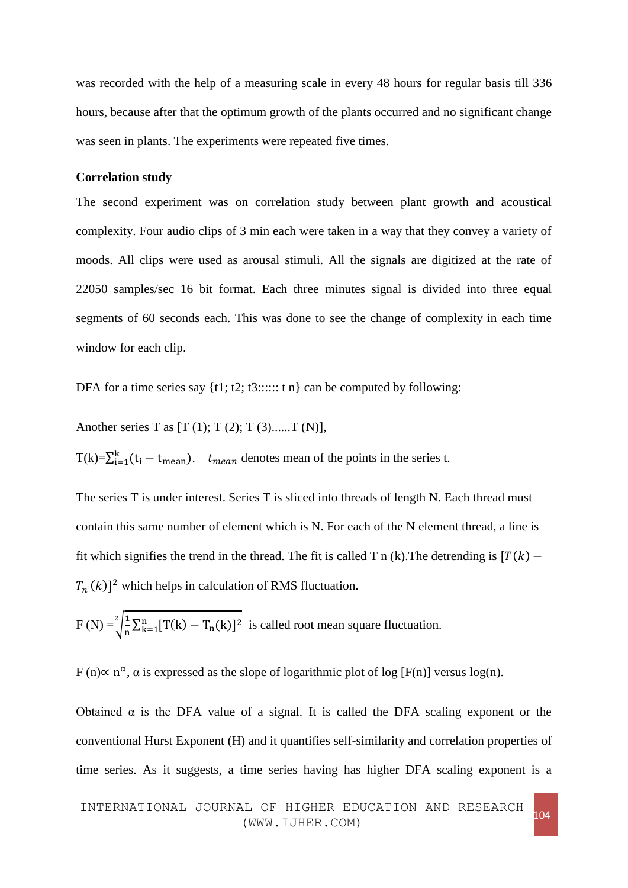was recorded with the help of a measuring scale in every 48 hours for regular basis till 336 hours, because after that the optimum growth of the plants occurred and no significant change was seen in plants. The experiments were repeated five times.

### **Correlation study**

The second experiment was on correlation study between plant growth and acoustical complexity. Four audio clips of 3 min each were taken in a way that they convey a variety of moods. All clips were used as arousal stimuli. All the signals are digitized at the rate of 22050 samples/sec 16 bit format. Each three minutes signal is divided into three equal segments of 60 seconds each. This was done to see the change of complexity in each time window for each clip.

DFA for a time series say  $\{t1; t2; t3; \ldots; t n\}$  can be computed by following:

Another series T as  $[T (1); T (2); T (3)$ ......T (N)],

 $T(k) = \sum_{i=1}^{k} (t_i - t_{mean})$ .  $t_{mean}$  denotes mean of the points in the series t.

The series T is under interest. Series T is sliced into threads of length N. Each thread must contain this same number of element which is N. For each of the N element thread, a line is fit which signifies the trend in the thread. The fit is called T n (k). The detrending is  $[T(k) [T_n(k)]^2$  which helps in calculation of RMS fluctuation.

$$
F(N) = \sqrt[2]{\frac{1}{n} \sum_{k=1}^{n} [T(k) - T_n(k)]^2}
$$
 is called root mean square fluctuation.

F (n) $\propto$  n<sup> $\alpha$ </sup>,  $\alpha$  is expressed as the slope of logarithmic plot of log [F(n)] versus log(n).

Obtained  $\alpha$  is the DFA value of a signal. It is called the DFA scaling exponent or the conventional Hurst Exponent (H) and it quantifies self-similarity and correlation properties of time series. As it suggests, a time series having has higher DFA scaling exponent is a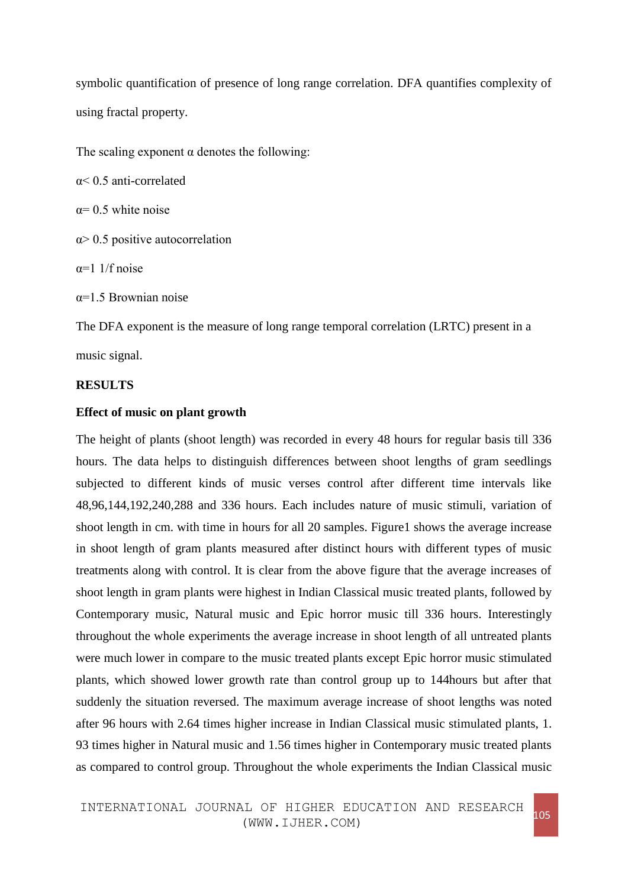symbolic quantification of presence of long range correlation. DFA quantifies complexity of using fractal property.

The scaling exponent  $\alpha$  denotes the following:

α< 0.5 anti-correlated

 $\alpha$ = 0.5 white noise

 $\alpha$  0.5 positive autocorrelation

 $\alpha=1$  1/f noise

 $\alpha$ =1.5 Brownian noise

The DFA exponent is the measure of long range temporal correlation (LRTC) present in a music signal.

#### **RESULTS**

## **Effect of music on plant growth**

The height of plants (shoot length) was recorded in every 48 hours for regular basis till 336 hours. The data helps to distinguish differences between shoot lengths of gram seedlings subjected to different kinds of music verses control after different time intervals like 48,96,144,192,240,288 and 336 hours. Each includes nature of music stimuli, variation of shoot length in cm. with time in hours for all 20 samples. Figure1 shows the average increase in shoot length of gram plants measured after distinct hours with different types of music treatments along with control. It is clear from the above figure that the average increases of shoot length in gram plants were highest in Indian Classical music treated plants, followed by Contemporary music, Natural music and Epic horror music till 336 hours. Interestingly throughout the whole experiments the average increase in shoot length of all untreated plants were much lower in compare to the music treated plants except Epic horror music stimulated plants, which showed lower growth rate than control group up to 144hours but after that suddenly the situation reversed. The maximum average increase of shoot lengths was noted after 96 hours with 2.64 times higher increase in Indian Classical music stimulated plants, 1. 93 times higher in Natural music and 1.56 times higher in Contemporary music treated plants as compared to control group. Throughout the whole experiments the Indian Classical music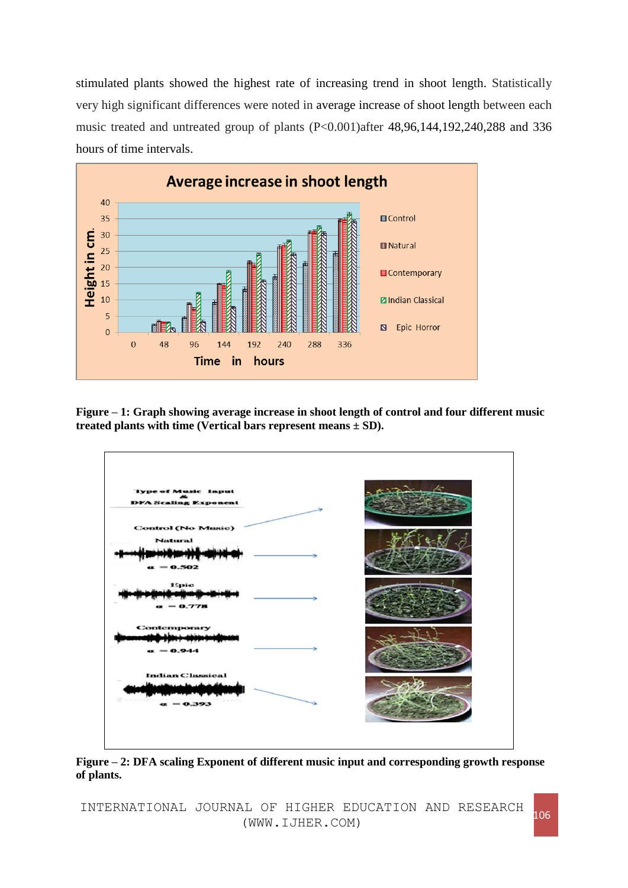stimulated plants showed the highest rate of increasing trend in shoot length. Statistically very high significant differences were noted in average increase of shoot length between each music treated and untreated group of plants (P<0.001)after 48,96,144,192,240,288 and 336 hours of time intervals.



**Figure – 1: Graph showing average increase in shoot length of control and four different music treated plants with time (Vertical bars represent means ± SD).**



**Figure – 2: DFA scaling Exponent of different music input and corresponding growth response of plants.**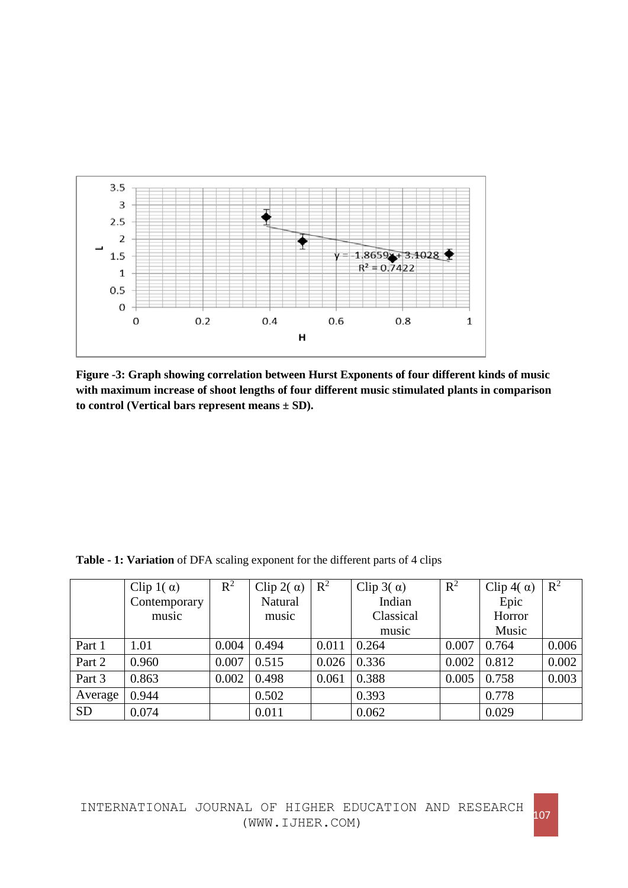

**Figure -3: Graph showing correlation between Hurst Exponents of four different kinds of music with maximum increase of shoot lengths of four different music stimulated plants in comparison to control (Vertical bars represent means ± SD).**

| Table - 1: Variation of DFA scaling exponent for the different parts of 4 clips |  |  |
|---------------------------------------------------------------------------------|--|--|
|---------------------------------------------------------------------------------|--|--|

|           | Clip 1( $\alpha$ ) | $R^2$ | Clip 2( $\alpha$ ) | $\mathbb{R}^2$ | Clip $3(\alpha)$ | $R^2$ | Clip 4( $\alpha$ ) | $\mathbb{R}^2$ |
|-----------|--------------------|-------|--------------------|----------------|------------------|-------|--------------------|----------------|
|           | Contemporary       |       | Natural            |                | Indian           |       | Epic               |                |
|           | music              |       | music              |                | Classical        |       | Horror             |                |
|           |                    |       |                    |                | music            |       | Music              |                |
| Part 1    | 1.01               | 0.004 | 0.494              | 0.011          | 0.264            | 0.007 | 0.764              | 0.006          |
| Part 2    | 0.960              | 0.007 | 0.515              | 0.026          | 0.336            | 0.002 | 0.812              | 0.002          |
| Part 3    | 0.863              | 0.002 | 0.498              | 0.061          | 0.388            | 0.005 | 0.758              | 0.003          |
| Average   | 0.944              |       | 0.502              |                | 0.393            |       | 0.778              |                |
| <b>SD</b> | 0.074              |       | 0.011              |                | 0.062            |       | 0.029              |                |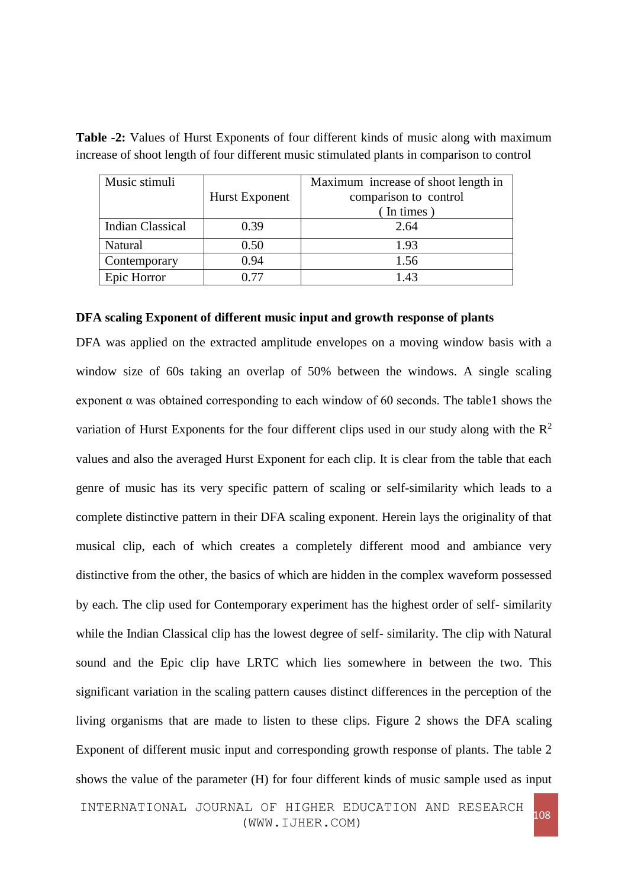| Music stimuli           |                       | Maximum increase of shoot length in |  |  |
|-------------------------|-----------------------|-------------------------------------|--|--|
|                         | <b>Hurst Exponent</b> | comparison to control               |  |  |
|                         |                       | In times                            |  |  |
| <b>Indian Classical</b> | 0.39                  | 2.64                                |  |  |
| Natural                 | 0.50                  | 1.93                                |  |  |
| Contemporary            | 0.94                  | 1.56                                |  |  |
| Epic Horror             | 0.77                  | 1.43                                |  |  |

**Table -2:** Values of Hurst Exponents of four different kinds of music along with maximum increase of shoot length of four different music stimulated plants in comparison to control

## **DFA scaling Exponent of different music input and growth response of plants**

DFA was applied on the extracted amplitude envelopes on a moving window basis with a window size of 60s taking an overlap of 50% between the windows. A single scaling exponent  $\alpha$  was obtained corresponding to each window of 60 seconds. The table1 shows the variation of Hurst Exponents for the four different clips used in our study along with the  $R^2$ values and also the averaged Hurst Exponent for each clip. It is clear from the table that each genre of music has its very specific pattern of scaling or self-similarity which leads to a complete distinctive pattern in their DFA scaling exponent. Herein lays the originality of that musical clip, each of which creates a completely different mood and ambiance very distinctive from the other, the basics of which are hidden in the complex waveform possessed by each. The clip used for Contemporary experiment has the highest order of self- similarity while the Indian Classical clip has the lowest degree of self- similarity. The clip with Natural sound and the Epic clip have LRTC which lies somewhere in between the two. This significant variation in the scaling pattern causes distinct differences in the perception of the living organisms that are made to listen to these clips. Figure 2 shows the DFA scaling Exponent of different music input and corresponding growth response of plants. The table 2 shows the value of the parameter (H) for four different kinds of music sample used as input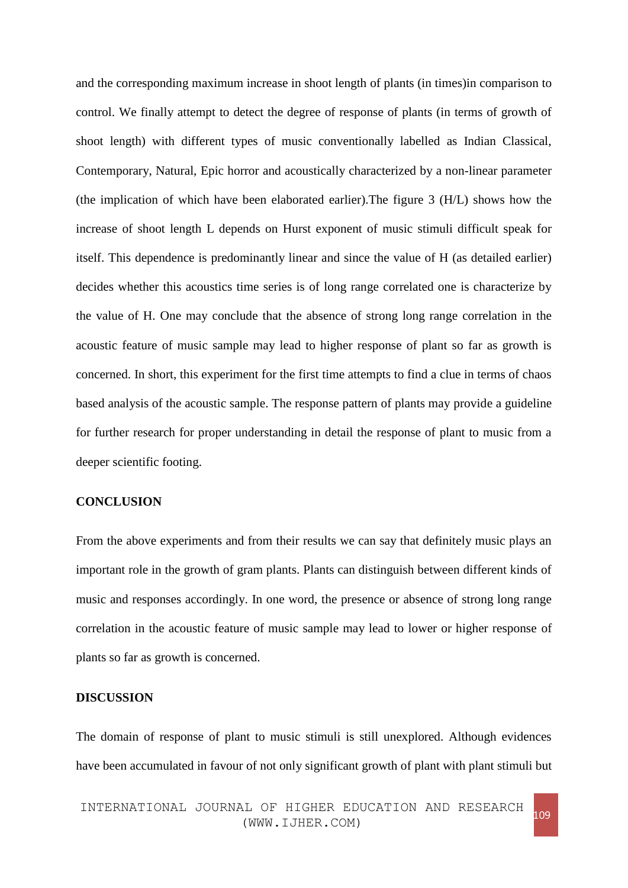and the corresponding maximum increase in shoot length of plants (in times)in comparison to control. We finally attempt to detect the degree of response of plants (in terms of growth of shoot length) with different types of music conventionally labelled as Indian Classical, Contemporary, Natural, Epic horror and acoustically characterized by a non-linear parameter (the implication of which have been elaborated earlier).The figure 3 (H/L) shows how the increase of shoot length L depends on Hurst exponent of music stimuli difficult speak for itself. This dependence is predominantly linear and since the value of H (as detailed earlier) decides whether this acoustics time series is of long range correlated one is characterize by the value of H. One may conclude that the absence of strong long range correlation in the acoustic feature of music sample may lead to higher response of plant so far as growth is concerned. In short, this experiment for the first time attempts to find a clue in terms of chaos based analysis of the acoustic sample. The response pattern of plants may provide a guideline for further research for proper understanding in detail the response of plant to music from a deeper scientific footing.

## **CONCLUSION**

From the above experiments and from their results we can say that definitely music plays an important role in the growth of gram plants. Plants can distinguish between different kinds of music and responses accordingly. In one word, the presence or absence of strong long range correlation in the acoustic feature of music sample may lead to lower or higher response of plants so far as growth is concerned.

#### **DISCUSSION**

The domain of response of plant to music stimuli is still unexplored. Although evidences have been accumulated in favour of not only significant growth of plant with plant stimuli but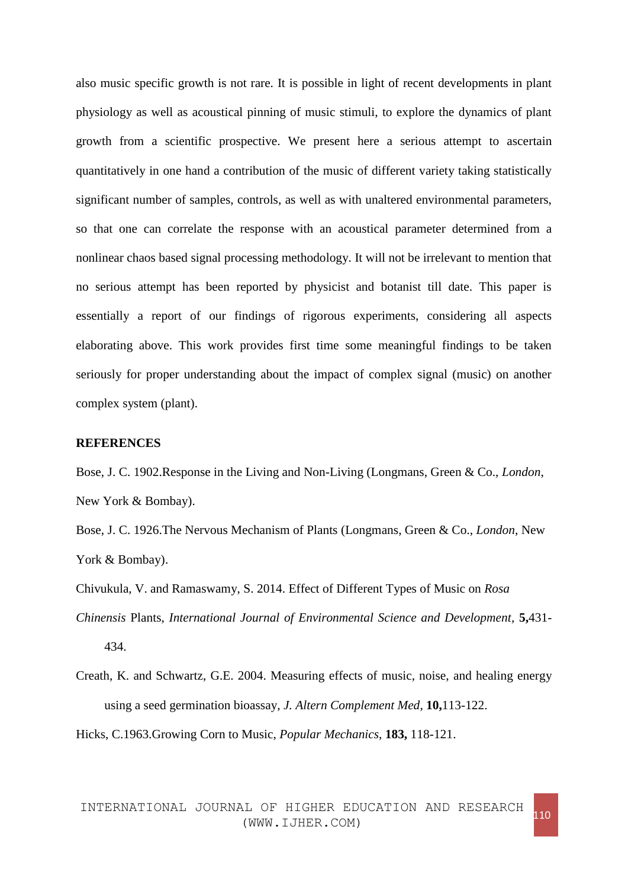also music specific growth is not rare. It is possible in light of recent developments in plant physiology as well as acoustical pinning of music stimuli, to explore the dynamics of plant growth from a scientific prospective. We present here a serious attempt to ascertain quantitatively in one hand a contribution of the music of different variety taking statistically significant number of samples, controls, as well as with unaltered environmental parameters, so that one can correlate the response with an acoustical parameter determined from a nonlinear chaos based signal processing methodology. It will not be irrelevant to mention that no serious attempt has been reported by physicist and botanist till date. This paper is essentially a report of our findings of rigorous experiments, considering all aspects elaborating above. This work provides first time some meaningful findings to be taken seriously for proper understanding about the impact of complex signal (music) on another complex system (plant).

#### **REFERENCES**

Bose, J. C. 1902.Response in the Living and Non-Living (Longmans, Green & Co., *London*, New York & Bombay).

Bose, J. C. 1926.The Nervous Mechanism of Plants (Longmans, Green & Co., *London*, New York & Bombay).

Chivukula, V. and Ramaswamy, S. 2014. Effect of Different Types of Music on *Rosa Chinensis* Plants, *International Journal of Environmental Science and Development,* **5,**431- 434.

Creath, K. and Schwartz, G.E. 2004. Measuring effects of music, noise, and healing energy using a seed germination bioassay, *J. Altern Complement Med*, **10,**113-122.

Hicks, C.1963.Growing Corn to Music, *Popular Mechanics*, **183,** 118-121.